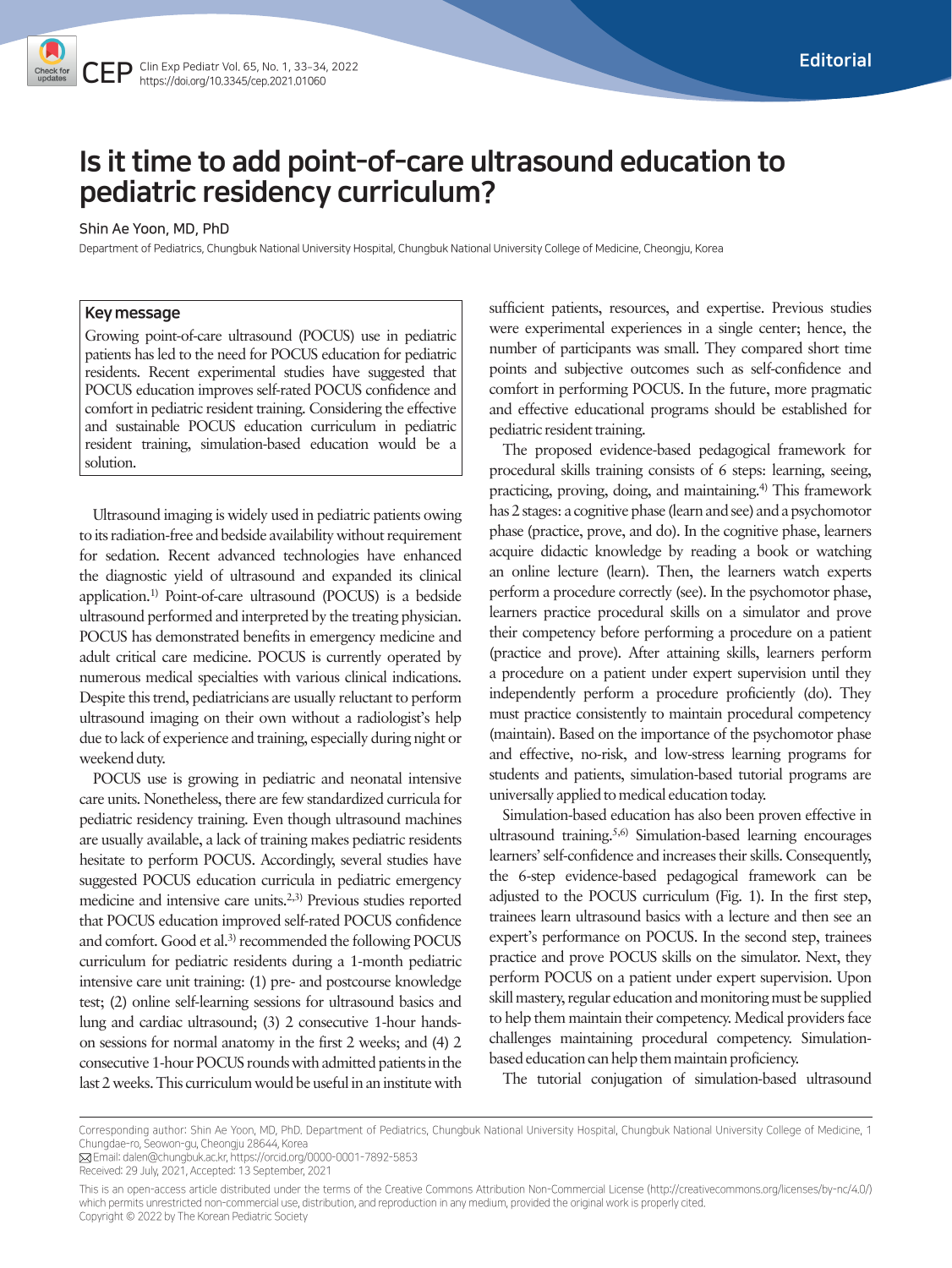# Is it time to add point-of-care ultrasound education to pediatric residency curriculum?

#### Shin Ae Yoon, MD, PhD

Department of Pediatrics, Chungbuk National University Hospital, Chungbuk National University College of Medicine, Cheongju, Korea

### Key message

Growing point-of-care ultrasound (POCUS) use in pediatric patients has led to the need for POCUS education for pediatric residents. Recent experimental studies have suggested that POCUS education improves self-rated POCUS confidence and comfort in pediatric resident training. Considering the effective and sustainable POCUS education curriculum in pediatric resident training, simulation-based education would be a solution.

Ultrasound imaging is widely used in pediatric patients owing to its radiation-free and bedside availability without requirement for sedation. Recent advanced technologies have enhanced the diagnostic yield of ultrasound and expanded its clinical application.1) Point-of-care ultrasound (POCUS) is a bedside ultrasound performed and interpreted by the treating physician. POCUS has demonstrated benefits in emergency medicine and adult critical care medicine. POCUS is currently operated by numerous medical specialties with various clinical indications. Despite this trend, pediatricians are usually reluctant to perform ultrasound imaging on their own without a radiologist's help due to lack of experience and training, especially during night or weekend duty.

POCUS use is growing in pediatric and neonatal intensive care units. Nonetheless, there are few standardized curricula for pediatric residency training. Even though ultrasound machines are usually available, a lack of training makes pediatric residents hesitate to perform POCUS. Accordingly, several studies have suggested POCUS education curricula in pediatric emergency medicine and intensive care units.2,3) Previous studies reported that POCUS education improved self-rated POCUS confidence and comfort. Good et al.<sup>3)</sup> recommended the following POCUS curriculum for pediatric residents during a 1-month pediatric intensive care unit training: (1) pre- and postcourse knowledge test; (2) online self-learning sessions for ultrasound basics and lung and cardiac ultrasound; (3) 2 consecutive 1-hour handson sessions for normal anatomy in the first 2 weeks; and (4) 2 consecutive 1-hour POCUS rounds with admitted patients in the last 2 weeks. This curriculum would be useful in an institute with

sufficient patients, resources, and expertise. Previous studies were experimental experiences in a single center; hence, the number of participants was small. They compared short time points and subjective outcomes such as self-confidence and comfort in performing POCUS. In the future, more pragmatic and effective educational programs should be established for pediatric resident training.

The proposed evidence-based pedagogical framework for procedural skills training consists of 6 steps: learning, seeing, practicing, proving, doing, and maintaining.4) This framework has 2 stages: a cognitive phase (learn and see) and a psychomotor phase (practice, prove, and do). In the cognitive phase, learners acquire didactic knowledge by reading a book or watching an online lecture (learn). Then, the learners watch experts perform a procedure correctly (see). In the psychomotor phase, learners practice procedural skills on a simulator and prove their competency before performing a procedure on a patient (practice and prove). After attaining skills, learners perform a procedure on a patient under expert supervision until they independently perform a procedure proficiently (do). They must practice consistently to maintain procedural competency (maintain). Based on the importance of the psychomotor phase and effective, no-risk, and low-stress learning programs for students and patients, simulation-based tutorial programs are universally applied to medical education today.

Simulation-based education has also been proven effective in ultrasound training.5,6) Simulation-based learning encourages learners' self-confidence and increases their skills. Consequently, the 6-step evidence-based pedagogical framework can be adjusted to the POCUS curriculum (Fig. 1). In the first step, trainees learn ultrasound basics with a lecture and then see an expert's performance on POCUS. In the second step, trainees practice and prove POCUS skills on the simulator. Next, they perform POCUS on a patient under expert supervision. Upon skill mastery, regular education and monitoring must be supplied to help them maintain their competency. Medical providers face challenges maintaining procedural competency. Simulationbased education can help them maintain proficiency.

The tutorial conjugation of simulation-based ultrasound

Corresponding author: Shin Ae Yoon, MD, PhD. Department of Pediatrics, Chungbuk National University Hospital, Chungbuk National University College of Medicine, 1 Chungdae-ro, Seowon-gu, Cheongju 28644, Korea

Email: dalen@chungbuk.ac.kr, https://orcid.org/0000-0001-7892-5853

Received: 29 July, 2021, Accepted: 13 September, 2021

This is an open-access article distributed under the terms of the Creative Commons Attribution Non-Commercial License (http://creativecommons.org/licenses/by-nc/4.0/) which permits unrestricted non-commercial use, distribution, and reproduction in any medium, provided the original work is properly cited. Copyright © 2022 by The Korean Pediatric Society